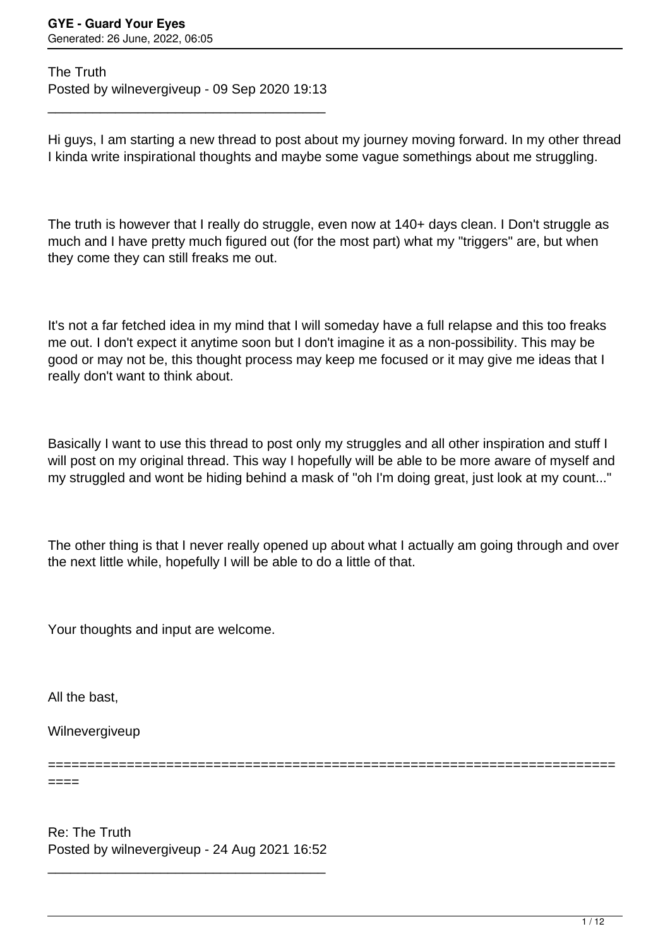The Truth Posted by wilnevergiveup - 09 Sep 2020 19:13

\_\_\_\_\_\_\_\_\_\_\_\_\_\_\_\_\_\_\_\_\_\_\_\_\_\_\_\_\_\_\_\_\_\_\_\_\_

Hi guys, I am starting a new thread to post about my journey moving forward. In my other thread I kinda write inspirational thoughts and maybe some vague somethings about me struggling.

The truth is however that I really do struggle, even now at 140+ days clean. I Don't struggle as much and I have pretty much figured out (for the most part) what my "triggers" are, but when they come they can still freaks me out.

It's not a far fetched idea in my mind that I will someday have a full relapse and this too freaks me out. I don't expect it anytime soon but I don't imagine it as a non-possibility. This may be good or may not be, this thought process may keep me focused or it may give me ideas that I really don't want to think about.

Basically I want to use this thread to post only my struggles and all other inspiration and stuff I will post on my original thread. This way I hopefully will be able to be more aware of myself and my struggled and wont be hiding behind a mask of "oh I'm doing great, just look at my count..."

The other thing is that I never really opened up about what I actually am going through and over the next little while, hopefully I will be able to do a little of that.

Your thoughts and input are welcome.

All the bast,

====

Wilnevergiveup

========================================================================

Re: The Truth Posted by wilnevergiveup - 24 Aug 2021 16:52

\_\_\_\_\_\_\_\_\_\_\_\_\_\_\_\_\_\_\_\_\_\_\_\_\_\_\_\_\_\_\_\_\_\_\_\_\_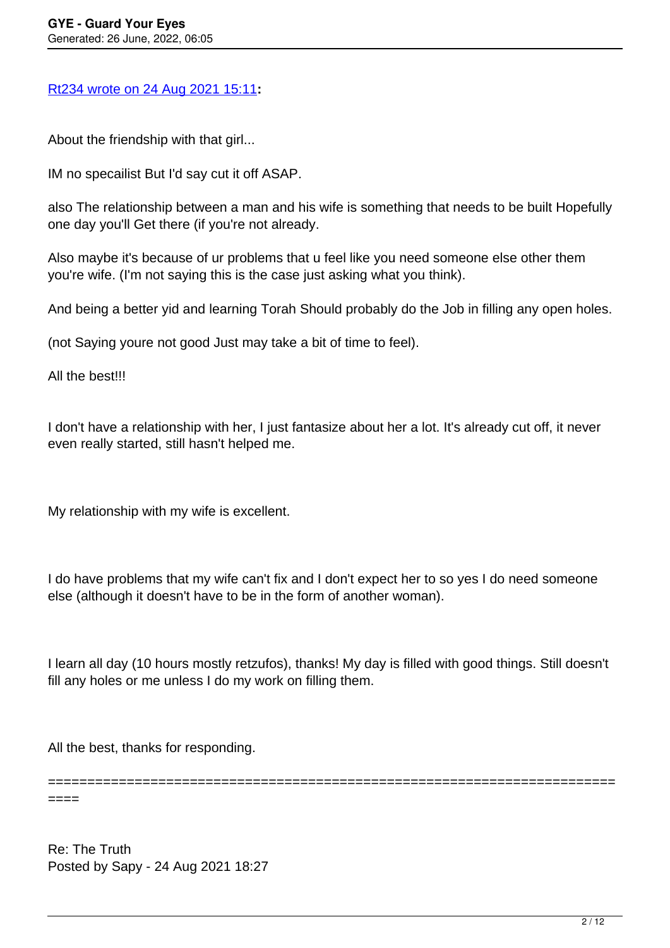# [Rt234 wrote on 24 Aug 2021 15:11](/forum/1-Break-Free/371860-Re-The-Truth)**:**

About the friendship with that girl...

IM no specailist But I'd say cut it off ASAP.

also The relationship between a man and his wife is something that needs to be built Hopefully one day you'll Get there (if you're not already.

Also maybe it's because of ur problems that u feel like you need someone else other them you're wife. (I'm not saying this is the case just asking what you think).

And being a better yid and learning Torah Should probably do the Job in filling any open holes.

(not Saying youre not good Just may take a bit of time to feel).

All the best!!!

I don't have a relationship with her, I just fantasize about her a lot. It's already cut off, it never even really started, still hasn't helped me.

My relationship with my wife is excellent.

I do have problems that my wife can't fix and I don't expect her to so yes I do need someone else (although it doesn't have to be in the form of another woman).

I learn all day (10 hours mostly retzufos), thanks! My day is filled with good things. Still doesn't fill any holes or me unless I do my work on filling them.

All the best, thanks for responding.

====

========================================================================

Re: The Truth Posted by Sapy - 24 Aug 2021 18:27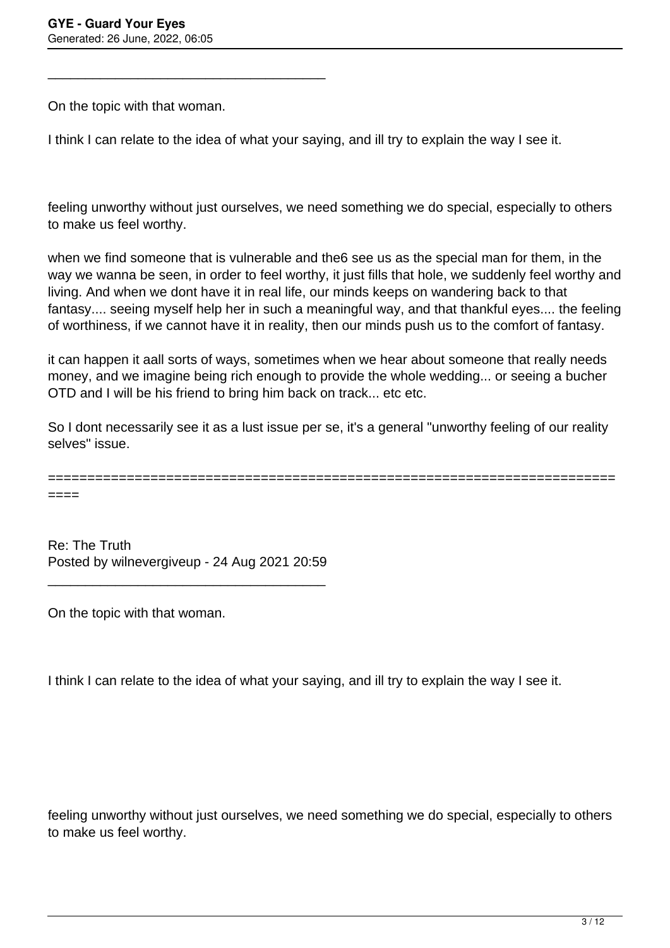On the topic with that woman.

\_\_\_\_\_\_\_\_\_\_\_\_\_\_\_\_\_\_\_\_\_\_\_\_\_\_\_\_\_\_\_\_\_\_\_\_\_

I think I can relate to the idea of what your saying, and ill try to explain the way I see it.

feeling unworthy without just ourselves, we need something we do special, especially to others to make us feel worthy.

when we find someone that is vulnerable and the6 see us as the special man for them, in the way we wanna be seen, in order to feel worthy, it just fills that hole, we suddenly feel worthy and living. And when we dont have it in real life, our minds keeps on wandering back to that fantasy.... seeing myself help her in such a meaningful way, and that thankful eyes.... the feeling of worthiness, if we cannot have it in reality, then our minds push us to the comfort of fantasy.

it can happen it aall sorts of ways, sometimes when we hear about someone that really needs money, and we imagine being rich enough to provide the whole wedding... or seeing a bucher OTD and I will be his friend to bring him back on track... etc etc.

So I dont necessarily see it as a lust issue per se, it's a general "unworthy feeling of our reality selves" issue.

========================================================================

====

Re: The Truth Posted by wilnevergiveup - 24 Aug 2021 20:59

\_\_\_\_\_\_\_\_\_\_\_\_\_\_\_\_\_\_\_\_\_\_\_\_\_\_\_\_\_\_\_\_\_\_\_\_\_

On the topic with that woman.

I think I can relate to the idea of what your saying, and ill try to explain the way I see it.

feeling unworthy without just ourselves, we need something we do special, especially to others to make us feel worthy.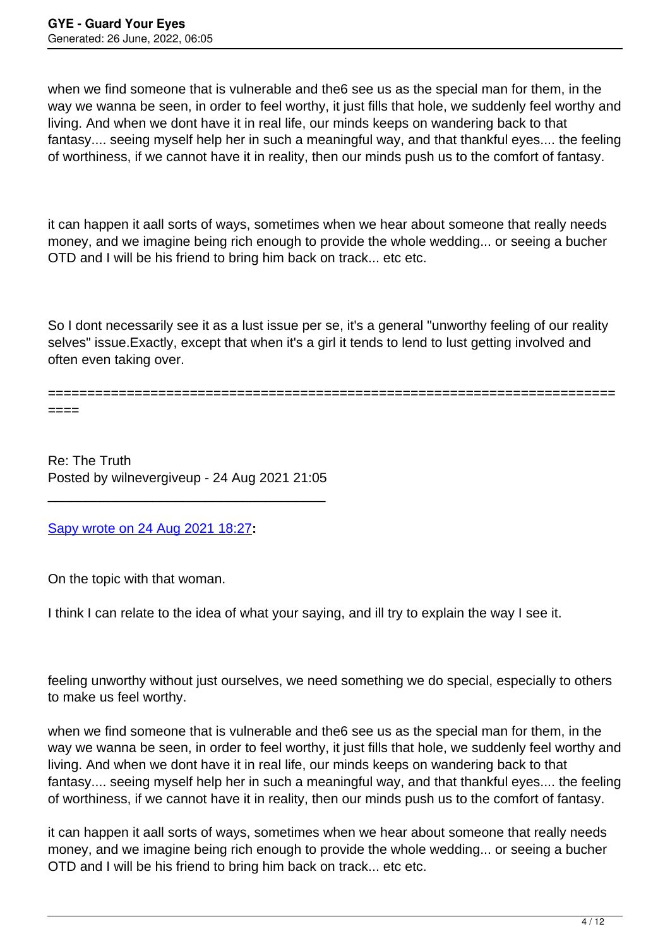when we find someone that is vulnerable and the6 see us as the special man for them, in the way we wanna be seen, in order to feel worthy, it just fills that hole, we suddenly feel worthy and living. And when we dont have it in real life, our minds keeps on wandering back to that fantasy.... seeing myself help her in such a meaningful way, and that thankful eyes.... the feeling of worthiness, if we cannot have it in reality, then our minds push us to the comfort of fantasy.

it can happen it aall sorts of ways, sometimes when we hear about someone that really needs money, and we imagine being rich enough to provide the whole wedding... or seeing a bucher OTD and I will be his friend to bring him back on track... etc etc.

So I dont necessarily see it as a lust issue per se, it's a general "unworthy feeling of our reality selves" issue.Exactly, except that when it's a girl it tends to lend to lust getting involved and often even taking over.

========================================================================

====

Re: The Truth Posted by wilnevergiveup - 24 Aug 2021 21:05

\_\_\_\_\_\_\_\_\_\_\_\_\_\_\_\_\_\_\_\_\_\_\_\_\_\_\_\_\_\_\_\_\_\_\_\_\_

## [Sapy wrote on 24 Aug 2021 18:27](/forum/1-Break-Free/371862-Re-The-Truth)**:**

On the topic with that woman.

I think I can relate to the idea of what your saying, and ill try to explain the way I see it.

feeling unworthy without just ourselves, we need something we do special, especially to others to make us feel worthy.

when we find someone that is vulnerable and the6 see us as the special man for them, in the way we wanna be seen, in order to feel worthy, it just fills that hole, we suddenly feel worthy and living. And when we dont have it in real life, our minds keeps on wandering back to that fantasy.... seeing myself help her in such a meaningful way, and that thankful eyes.... the feeling of worthiness, if we cannot have it in reality, then our minds push us to the comfort of fantasy.

it can happen it aall sorts of ways, sometimes when we hear about someone that really needs money, and we imagine being rich enough to provide the whole wedding... or seeing a bucher OTD and I will be his friend to bring him back on track... etc etc.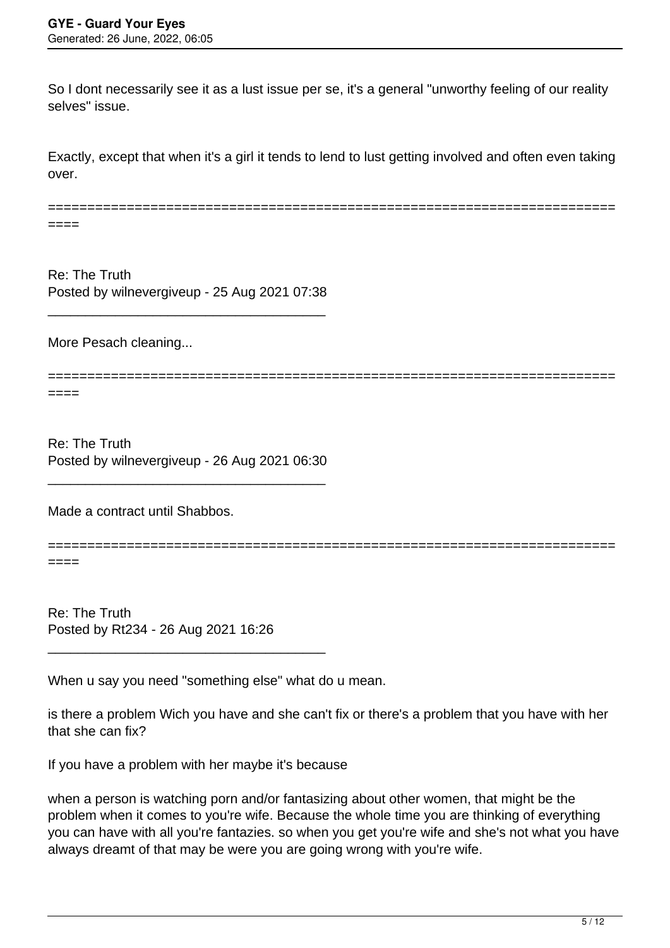So I dont necessarily see it as a lust issue per se, it's a general "unworthy feeling of our reality selves" issue.

Exactly, except that when it's a girl it tends to lend to lust getting involved and often even taking over.

======================================================================== ====

Re: The Truth Posted by wilnevergiveup - 25 Aug 2021 07:38

\_\_\_\_\_\_\_\_\_\_\_\_\_\_\_\_\_\_\_\_\_\_\_\_\_\_\_\_\_\_\_\_\_\_\_\_\_

More Pesach cleaning...

========================================================================

====

Re: The Truth Posted by wilnevergiveup - 26 Aug 2021 06:30

\_\_\_\_\_\_\_\_\_\_\_\_\_\_\_\_\_\_\_\_\_\_\_\_\_\_\_\_\_\_\_\_\_\_\_\_\_

Made a contract until Shabbos.

========================================================================

====

Re: The Truth Posted by Rt234 - 26 Aug 2021 16:26

\_\_\_\_\_\_\_\_\_\_\_\_\_\_\_\_\_\_\_\_\_\_\_\_\_\_\_\_\_\_\_\_\_\_\_\_\_

When u say you need "something else" what do u mean.

is there a problem Wich you have and she can't fix or there's a problem that you have with her that she can fix?

If you have a problem with her maybe it's because

when a person is watching porn and/or fantasizing about other women, that might be the problem when it comes to you're wife. Because the whole time you are thinking of everything you can have with all you're fantazies. so when you get you're wife and she's not what you have always dreamt of that may be were you are going wrong with you're wife.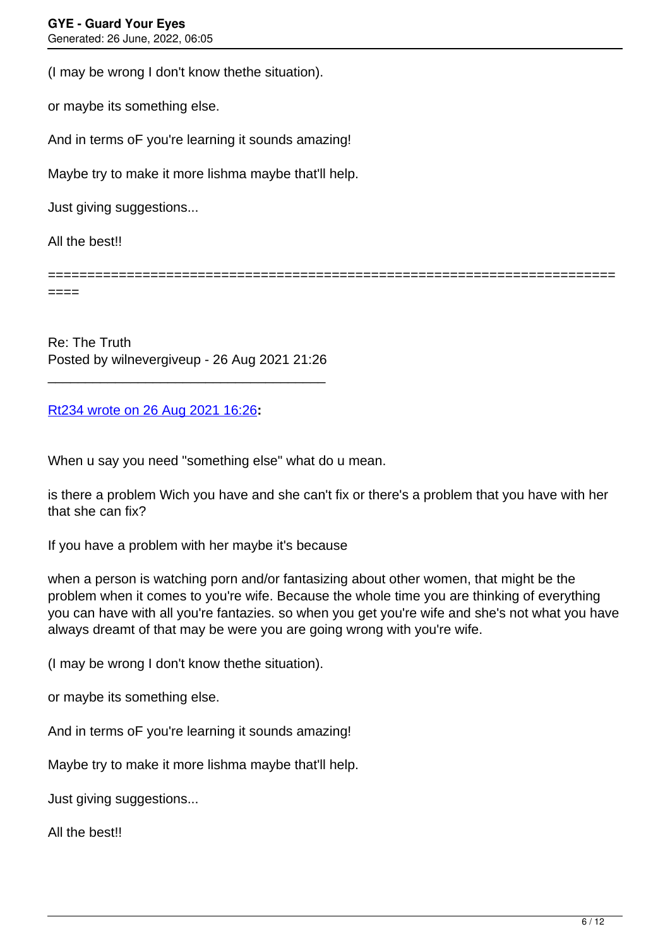(I may be wrong I don't know thethe situation).

or maybe its something else.

And in terms oF you're learning it sounds amazing!

Maybe try to make it more lishma maybe that'll help.

Just giving suggestions...

All the best!!

====

Re: The Truth Posted by wilnevergiveup - 26 Aug 2021 21:26

\_\_\_\_\_\_\_\_\_\_\_\_\_\_\_\_\_\_\_\_\_\_\_\_\_\_\_\_\_\_\_\_\_\_\_\_\_

### [Rt234 wrote on 26 Aug 2021 16:26](/forum/1-Break-Free/371934-Re-The-Truth)**:**

When u say you need "something else" what do u mean.

is there a problem Wich you have and she can't fix or there's a problem that you have with her that she can fix?

========================================================================

If you have a problem with her maybe it's because

when a person is watching porn and/or fantasizing about other women, that might be the problem when it comes to you're wife. Because the whole time you are thinking of everything you can have with all you're fantazies. so when you get you're wife and she's not what you have always dreamt of that may be were you are going wrong with you're wife.

(I may be wrong I don't know thethe situation).

or maybe its something else.

And in terms oF you're learning it sounds amazing!

Maybe try to make it more lishma maybe that'll help.

Just giving suggestions...

All the best!!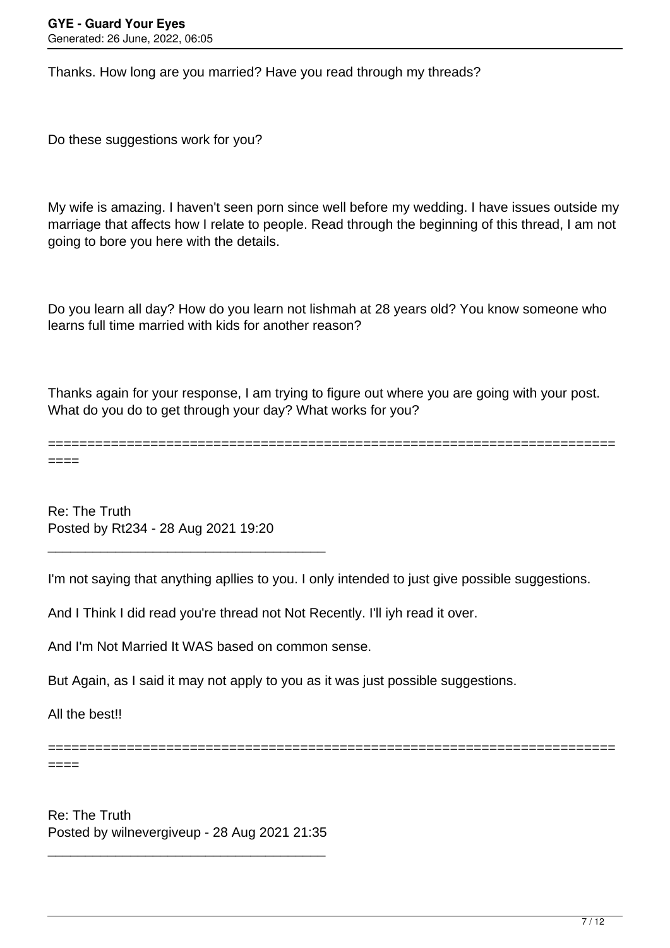Thanks. How long are you married? Have you read through my threads?

Do these suggestions work for you?

My wife is amazing. I haven't seen porn since well before my wedding. I have issues outside my marriage that affects how I relate to people. Read through the beginning of this thread, I am not going to bore you here with the details.

Do you learn all day? How do you learn not lishmah at 28 years old? You know someone who learns full time married with kids for another reason?

Thanks again for your response, I am trying to figure out where you are going with your post. What do you do to get through your day? What works for you?

======================================================================== ====

Re: The Truth Posted by Rt234 - 28 Aug 2021 19:20

\_\_\_\_\_\_\_\_\_\_\_\_\_\_\_\_\_\_\_\_\_\_\_\_\_\_\_\_\_\_\_\_\_\_\_\_\_

I'm not saying that anything apllies to you. I only intended to just give possible suggestions.

========================================================================

And I Think I did read you're thread not Not Recently. I'll iyh read it over.

And I'm Not Married It WAS based on common sense.

But Again, as I said it may not apply to you as it was just possible suggestions.

All the best!!

====

Re: The Truth Posted by wilnevergiveup - 28 Aug 2021 21:35

\_\_\_\_\_\_\_\_\_\_\_\_\_\_\_\_\_\_\_\_\_\_\_\_\_\_\_\_\_\_\_\_\_\_\_\_\_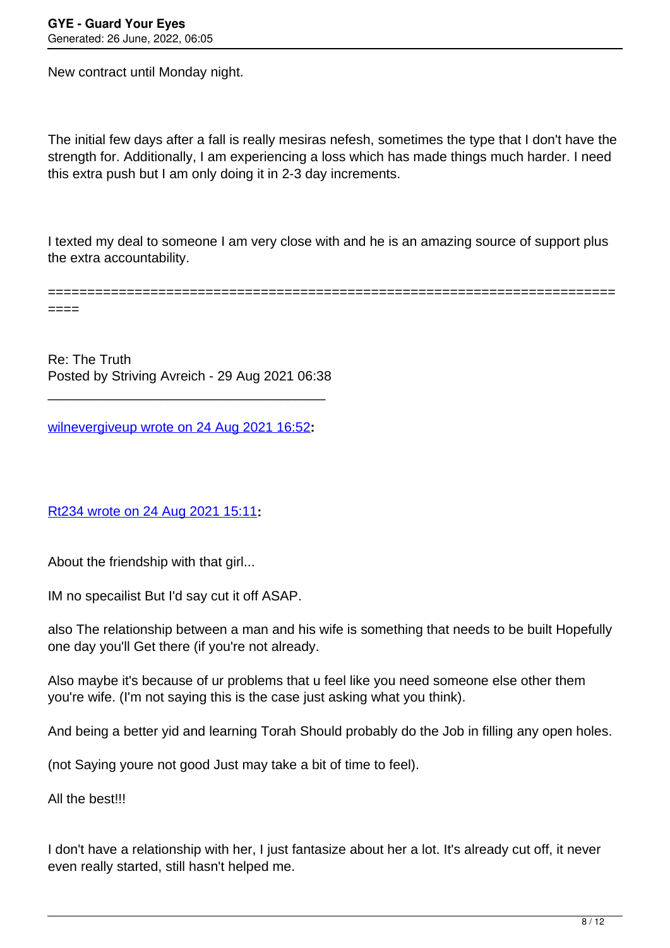New contract until Monday night.

The initial few days after a fall is really mesiras nefesh, sometimes the type that I don't have the strength for. Additionally, I am experiencing a loss which has made things much harder. I need this extra push but I am only doing it in 2-3 day increments.

I texted my deal to someone I am very close with and he is an amazing source of support plus the extra accountability.

======================================================================== ====

Re: The Truth Posted by Striving Avreich - 29 Aug 2021 06:38

\_\_\_\_\_\_\_\_\_\_\_\_\_\_\_\_\_\_\_\_\_\_\_\_\_\_\_\_\_\_\_\_\_\_\_\_\_

[wilnevergiveup wrote on 24 Aug 2021 16:52](/forum/1-Break-Free/371861-Re-The-Truth)**:**

## [Rt234 wrote on 24 Aug 2021 15:11](/forum/1-Break-Free/371860-Re-The-Truth)**:**

About the friendship with that girl...

IM no specailist But I'd say cut it off ASAP.

also The relationship between a man and his wife is something that needs to be built Hopefully one day you'll Get there (if you're not already.

Also maybe it's because of ur problems that u feel like you need someone else other them you're wife. (I'm not saying this is the case just asking what you think).

And being a better yid and learning Torah Should probably do the Job in filling any open holes.

(not Saying youre not good Just may take a bit of time to feel).

All the best!!!

I don't have a relationship with her, I just fantasize about her a lot. It's already cut off, it never even really started, still hasn't helped me.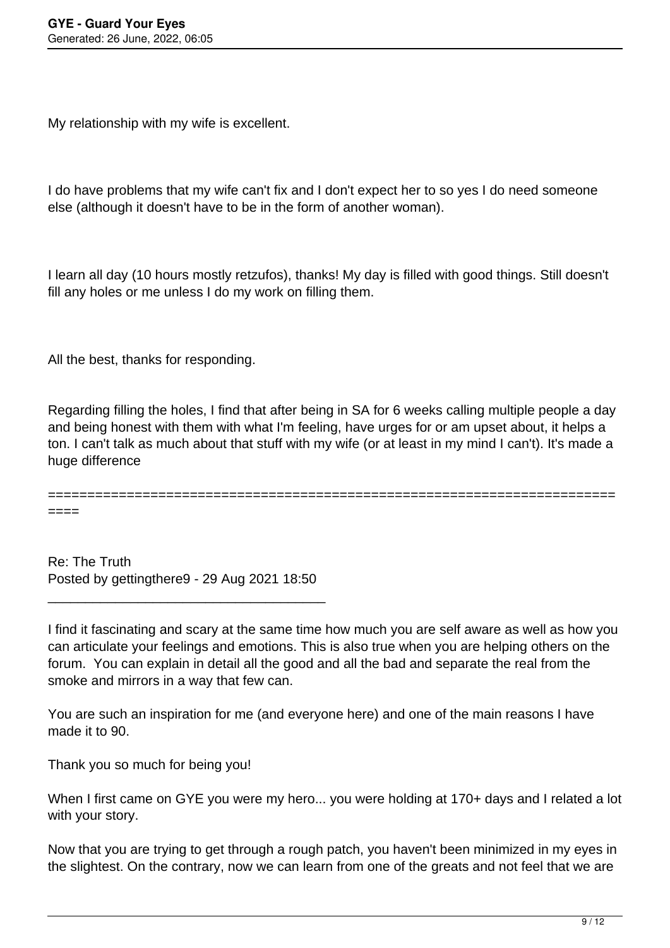My relationship with my wife is excellent.

I do have problems that my wife can't fix and I don't expect her to so yes I do need someone else (although it doesn't have to be in the form of another woman).

I learn all day (10 hours mostly retzufos), thanks! My day is filled with good things. Still doesn't fill any holes or me unless I do my work on filling them.

All the best, thanks for responding.

Regarding filling the holes, I find that after being in SA for 6 weeks calling multiple people a day and being honest with them with what I'm feeling, have urges for or am upset about, it helps a ton. I can't talk as much about that stuff with my wife (or at least in my mind I can't). It's made a huge difference

======================================================================== ====

Re: The Truth Posted by gettingthere9 - 29 Aug 2021 18:50

\_\_\_\_\_\_\_\_\_\_\_\_\_\_\_\_\_\_\_\_\_\_\_\_\_\_\_\_\_\_\_\_\_\_\_\_\_

I find it fascinating and scary at the same time how much you are self aware as well as how you can articulate your feelings and emotions. This is also true when you are helping others on the forum. You can explain in detail all the good and all the bad and separate the real from the smoke and mirrors in a way that few can.

You are such an inspiration for me (and everyone here) and one of the main reasons I have made it to 90.

Thank you so much for being you!

When I first came on GYE you were my hero... you were holding at 170+ days and I related a lot with your story.

Now that you are trying to get through a rough patch, you haven't been minimized in my eyes in the slightest. On the contrary, now we can learn from one of the greats and not feel that we are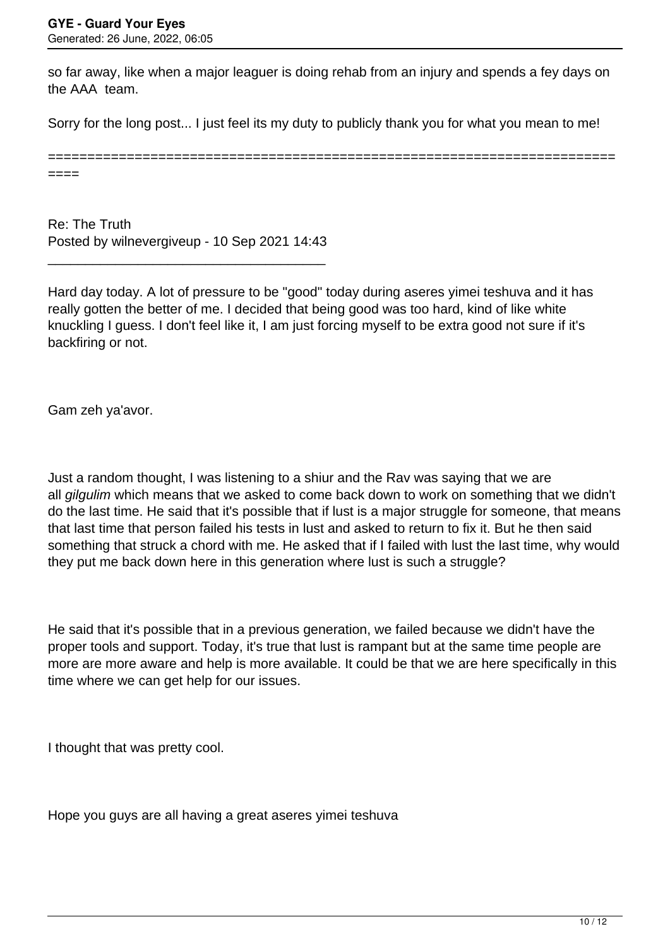so far away, like when a major leaguer is doing rehab from an injury and spends a fey days on the AAA team.

Sorry for the long post... I just feel its my duty to publicly thank you for what you mean to me!

======================================================================== ====

Re: The Truth Posted by wilnevergiveup - 10 Sep 2021 14:43

\_\_\_\_\_\_\_\_\_\_\_\_\_\_\_\_\_\_\_\_\_\_\_\_\_\_\_\_\_\_\_\_\_\_\_\_\_

Hard day today. A lot of pressure to be "good" today during aseres yimei teshuva and it has really gotten the better of me. I decided that being good was too hard, kind of like white knuckling I guess. I don't feel like it, I am just forcing myself to be extra good not sure if it's backfiring or not.

Gam zeh ya'avor.

Just a random thought, I was listening to a shiur and the Rav was saying that we are all gilgulim which means that we asked to come back down to work on something that we didn't do the last time. He said that it's possible that if lust is a major struggle for someone, that means that last time that person failed his tests in lust and asked to return to fix it. But he then said something that struck a chord with me. He asked that if I failed with lust the last time, why would they put me back down here in this generation where lust is such a struggle?

He said that it's possible that in a previous generation, we failed because we didn't have the proper tools and support. Today, it's true that lust is rampant but at the same time people are more are more aware and help is more available. It could be that we are here specifically in this time where we can get help for our issues.

I thought that was pretty cool.

Hope you guys are all having a great aseres yimei teshuva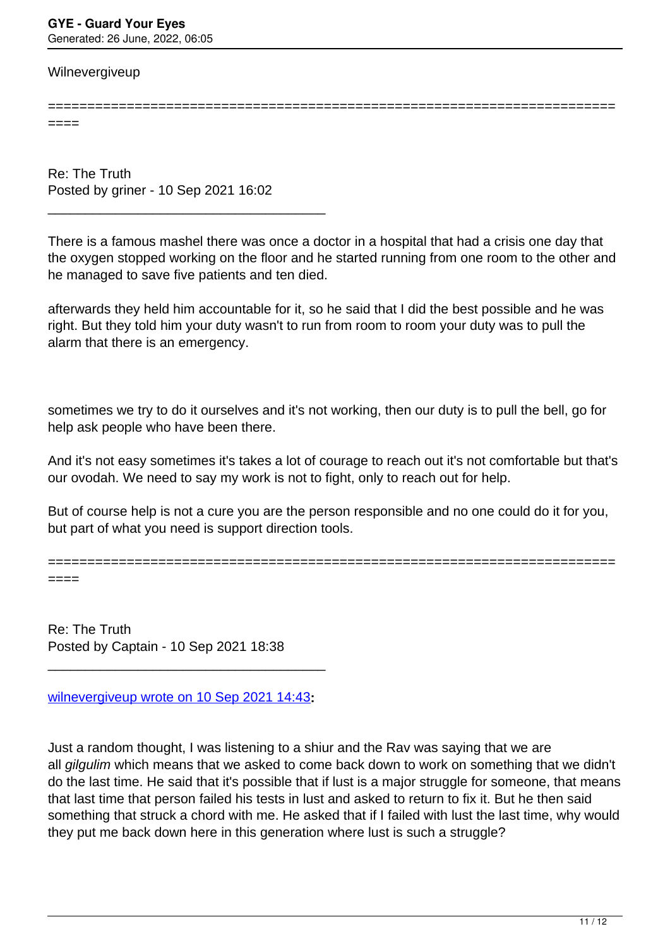#### **Wilnevergiveup**

======================================================================== ====

Re: The Truth Posted by griner - 10 Sep 2021 16:02

\_\_\_\_\_\_\_\_\_\_\_\_\_\_\_\_\_\_\_\_\_\_\_\_\_\_\_\_\_\_\_\_\_\_\_\_\_

There is a famous mashel there was once a doctor in a hospital that had a crisis one day that the oxygen stopped working on the floor and he started running from one room to the other and he managed to save five patients and ten died.

afterwards they held him accountable for it, so he said that I did the best possible and he was right. But they told him your duty wasn't to run from room to room your duty was to pull the alarm that there is an emergency.

sometimes we try to do it ourselves and it's not working, then our duty is to pull the bell, go for help ask people who have been there.

And it's not easy sometimes it's takes a lot of courage to reach out it's not comfortable but that's our ovodah. We need to say my work is not to fight, only to reach out for help.

But of course help is not a cure you are the person responsible and no one could do it for you, but part of what you need is support direction tools.

========================================================================

====

Re: The Truth Posted by Captain - 10 Sep 2021 18:38

[wilnevergiveup wrote on 10 Sep 2021 14:43](/forum/1-Break-Free/372322-Re-The-Truth)**:**

\_\_\_\_\_\_\_\_\_\_\_\_\_\_\_\_\_\_\_\_\_\_\_\_\_\_\_\_\_\_\_\_\_\_\_\_\_

Just a random thought, I was listening to a shiur and the Rav was saying that we are all gilgulim which means that we asked to come back down to work on something that we didn't do the last time. He said that it's possible that if lust is a major struggle for someone, that means that last time that person failed his tests in lust and asked to return to fix it. But he then said something that struck a chord with me. He asked that if I failed with lust the last time, why would they put me back down here in this generation where lust is such a struggle?